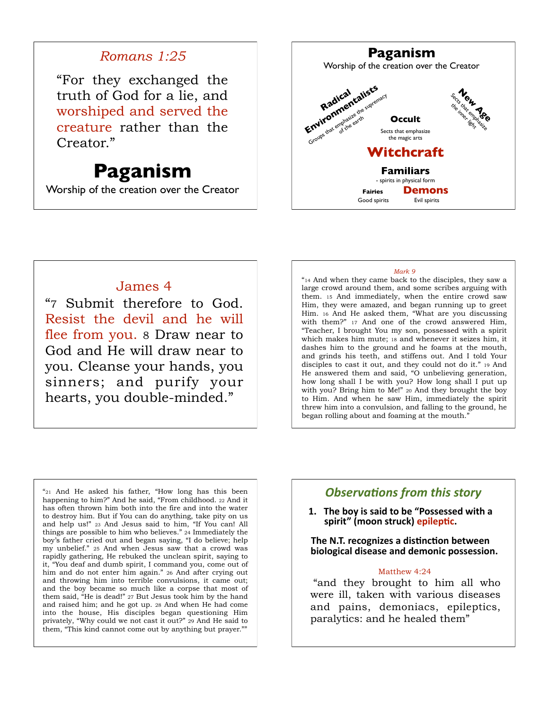## *Romans 1:25*

"For they exchanged the truth of God for a lie, and worshiped and served the creature rather than the Creator."

# **Paganism**

Worship of the creation over the Creator

### **Paganism** Worship of the creation over the Creator **Occult** Sects that emphasize the magic arts Section 1999 **Environmentalists** Groups that emphasize the supremac **Witchcraft Familiars** - spirits in physical form **Fairies Demons** Good spirits **Evil** spirits

## James 4

"7 Submit therefore to God. Resist the devil and he will flee from you. 8 Draw near to God and He will draw near to you. Cleanse your hands, you sinners; and purify your hearts, you double-minded."

#### *Mark 9*

"14 And when they came back to the disciples, they saw a large crowd around them, and some scribes arguing with them. 15 And immediately, when the entire crowd saw Him, they were amazed, and began running up to greet Him. 16 And He asked them, "What are you discussing with them?" 17 And one of the crowd answered Him, "Teacher, I brought You my son, possessed with a spirit which makes him mute; 18 and whenever it seizes him, it dashes him to the ground and he foams at the mouth, and grinds his teeth, and stiffens out. And I told Your disciples to cast it out, and they could not do it." 19 And He answered them and said, "O unbelieving generation, how long shall I be with you? How long shall I put up with you? Bring him to Me!" 20 And they brought the boy to Him. And when he saw Him, immediately the spirit threw him into a convulsion, and falling to the ground, he began rolling about and foaming at the mouth.<sup>1</sup>

"21 And He asked his father, "How long has this been happening to him?" And he said, "From childhood. 22 And it has often thrown him both into the fire and into the water to destroy him. But if You can do anything, take pity on us and help us!" 23 And Jesus said to him, "If You can! All things are possible to him who believes." 24 Immediately the boy's father cried out and began saying, "I do believe; help my unbelief." 25 And when Jesus saw that a crowd was rapidly gathering, He rebuked the unclean spirit, saying to it, "You deaf and dumb spirit, I command you, come out of him and do not enter him again." 26 And after crying out and throwing him into terrible convulsions, it came out; and the boy became so much like a corpse that most of them said, "He is dead!" 27 But Jesus took him by the hand and raised him; and he got up. 28 And when He had come into the house, His disciples began questioning Him privately, "Why could we not cast it out?" 29 And He said to them, "This kind cannot come out by anything but prayer.""

## **Observations from this story**

1. The boy is said to be "Possessed with a spirit" (moon struck) epileptic.

**The N.T. recognizes a distinction between biological disease and demonic possession.** 

#### Matthew 4:24

 "and they brought to him all who were ill, taken with various diseases and pains, demoniacs, epileptics, paralytics: and he healed them"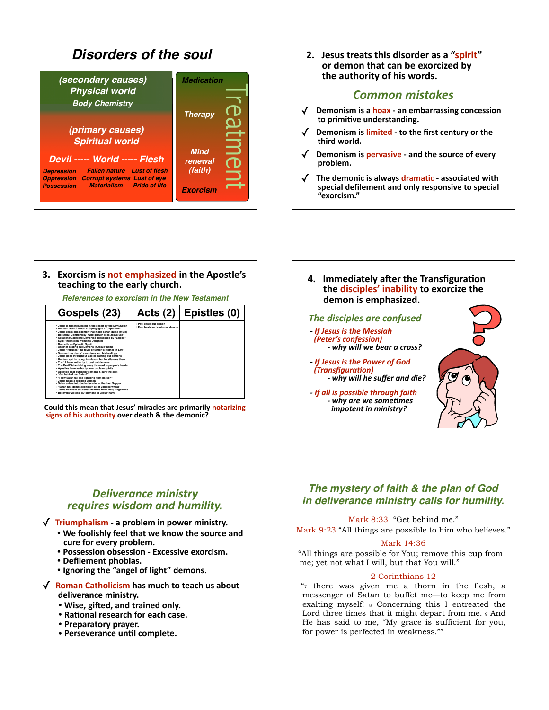

2. Jesus treats this disorder as a "spirit" or demon that can be exorcized by the authority of his words.

### **Common mistakes**

- Demonism is a hoax an embarrassing concession to primitive understanding.
- Demonism is limited to the first century or the third world.
- $\sqrt{ }$  Demonism is pervasive and the source of every problem.
- The demonic is always dramatic associated with special defilement and only responsive to special "exorcism."

#### 3. Exorcism is not emphasized in the Apostle's teaching to the early church.

**References to exorcism in the New Testament** 

| Gospels (23)                                                                                                                                                                                                                                                                                                                                                                                                                                                                                                                                                                                                                                                                                                                                                                                                                                                                                                                                                                                                                                                                                                                                                                                          | Acts $(2)$                                                 | Epistles (0) |
|-------------------------------------------------------------------------------------------------------------------------------------------------------------------------------------------------------------------------------------------------------------------------------------------------------------------------------------------------------------------------------------------------------------------------------------------------------------------------------------------------------------------------------------------------------------------------------------------------------------------------------------------------------------------------------------------------------------------------------------------------------------------------------------------------------------------------------------------------------------------------------------------------------------------------------------------------------------------------------------------------------------------------------------------------------------------------------------------------------------------------------------------------------------------------------------------------------|------------------------------------------------------------|--------------|
| · Jesus is tempted/tested in the desert by the Devil/Satan<br>• Unclean Spirit/Demon in Synagogue at Capernaum<br>· Jesus casts out a demon that made a man dumb (mute)<br>. Beelzebul Controversy: What power does Jesus use?<br>· Gerasene/Gadarene Demoniac possessed by "Legion"<br>· Svro-Phoenician Woman's Daughter<br>* Boy with an Epileptic Spirit<br>* Another casting out Demons in Jesus' name<br>. Jesus "rebukes" the fever of Simon's Mother-in-Law<br>· Summarizes Jesus' exorcisms and his healings<br>· Jesus goes throughout Galilee casting out demons<br>· Unclean spirits recognize Jesus, but he silences them<br>· The 12 have authority to cast out demons<br>· The Devil/Satan taking away the word in people's hearts<br>· Apostles have authority over unclean spirits<br>. Apostles cast out many demons & cure the sick<br>· "Get behind me, Satan!"<br>* "I saw Satan fall like lightning from heaven"<br>* Jesus heals a crippled woman<br>· Satan enters into Judas Iscariot at the Last Supper<br>· "Satan has demanded to sift all of you like wheat"<br>· Jesus had cast out seven demons from Mary Magdalene<br>· Believers will cast out demons in Jesus' name | · Paul casts out demon<br>· Paul beals and casts out demon |              |

Could this mean that Jesus' miracles are primarily notarizing signs of his authority over death & the demonic?

4. Immediately after the Transfiguration the disciples' inability to exorcize the demon is emphasized. The disciples are confused - If Jesus is the Messiah (Peter's confession) - why will we bear a cross? - If Jesus is the Power of God (Transfiguration) - why will he suffer and die? - If all is possible through faith - why are we sometimes impotent in ministry?

### **Deliverance ministry** requires wisdom and humility.

- $\sqrt{r}$  Triumphalism a problem in power ministry.
	- . We foolishly feel that we know the source and cure for every problem.
	- Possession obsession Excessive exorcism.
	- Defilement phobias.
	- Ignoring the "angel of light" demons.
- $\sqrt{\phantom{a}}$  Roman Catholicism has much to teach us about deliverance ministry.
	- . Wise, gifted, and trained only.
	- Rational research for each case.
	- Preparatory prayer.
	- Perseverance until complete.

### The mystery of faith & the plan of God in deliverance ministry calls for humility.

Mark 8:33 "Get behind me."

Mark 9:23 "All things are possible to him who believes."

#### Mark 14:36

"All things are possible for You; remove this cup from me; yet not what I will, but that You will."

#### 2 Corinthians 12

 $\frac{4}{7}$  there was given me a thorn in the flesh, a messenger of Satan to buffet me-to keep me from exalting myself! & Concerning this I entreated the Lord three times that it might depart from me. 9 And He has said to me, "My grace is sufficient for you, for power is perfected in weakness.""